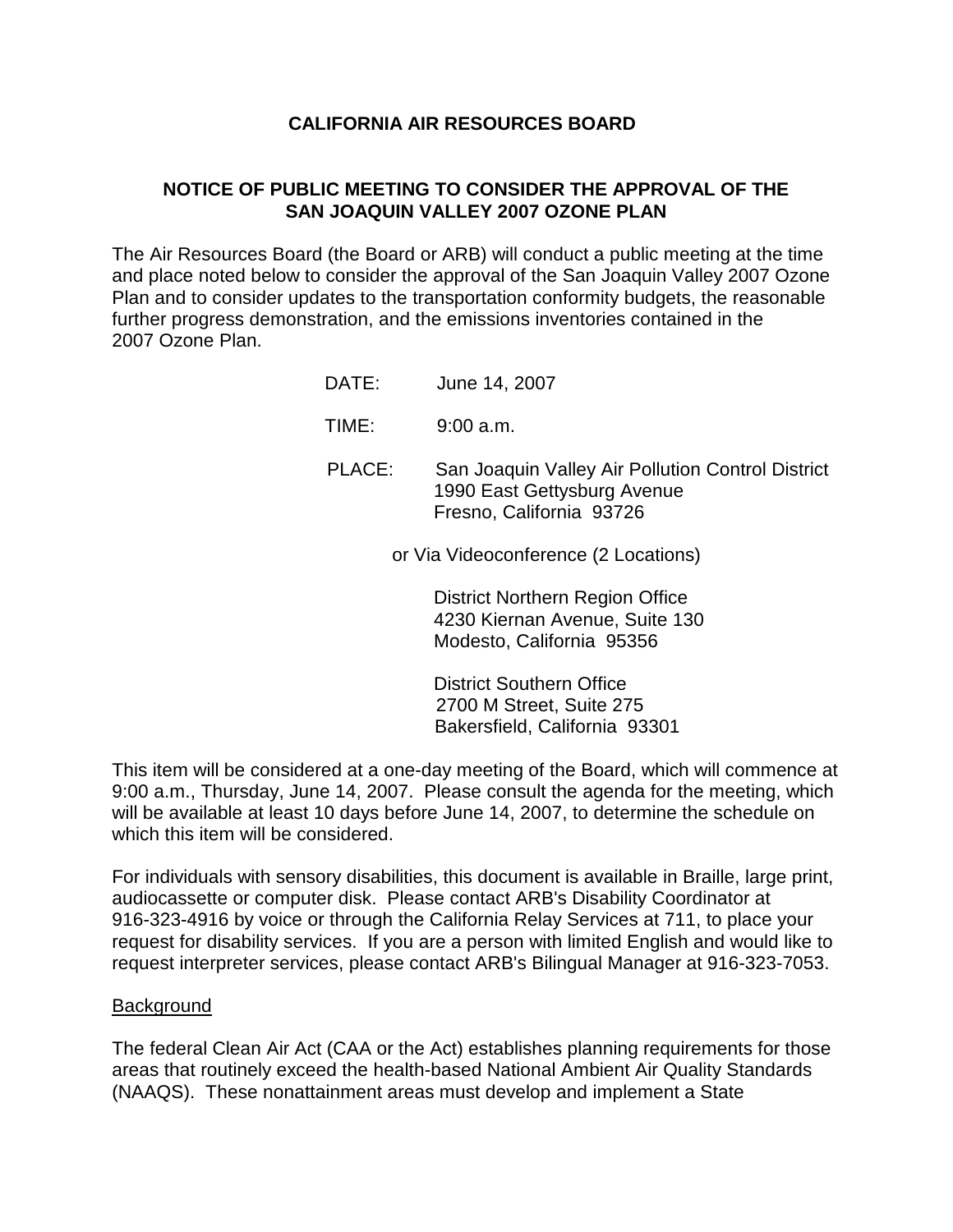## **CALIFORNIA AIR RESOURCES BOARD**

# **NOTICE OF PUBLIC MEETING TO CONSIDER THE APPROVAL OF THE SAN JOAQUIN VALLEY 2007 OZONE PLAN**

The Air Resources Board (the Board or ARB) will conduct a public meeting at the time and place noted below to consider the approval of the San Joaquin Valley 2007 Ozone Plan and to consider updates to the transportation conformity budgets, the reasonable further progress demonstration, and the emissions inventories contained in the 2007 Ozone Plan.

- DATE: June 14, 2007
- TIME: 9:00 a.m.
- PLACE: San Joaquin Valley Air Pollution Control District 1990 East Gettysburg Avenue Fresno, California 93726

or Via Videoconference (2 Locations)

 District Northern Region Office 4230 Kiernan Avenue, Suite 130 Modesto, California 95356

 District Southern Office 2700 M Street, Suite 275 Bakersfield, California 93301

This item will be considered at a one-day meeting of the Board, which will commence at 9:00 a.m., Thursday, June 14, 2007. Please consult the agenda for the meeting, which will be available at least 10 days before June 14, 2007, to determine the schedule on which this item will be considered.

For individuals with sensory disabilities, this document is available in Braille, large print, audiocassette or computer disk. Please contact ARB's Disability Coordinator at 916-323-4916 by voice or through the California Relay Services at 711, to place your request for disability services. If you are a person with limited English and would like to request interpreter services, please contact ARB's Bilingual Manager at 916-323-7053.

### Background

The federal Clean Air Act (CAA or the Act) establishes planning requirements for those areas that routinely exceed the health-based National Ambient Air Quality Standards (NAAQS). These nonattainment areas must develop and implement a State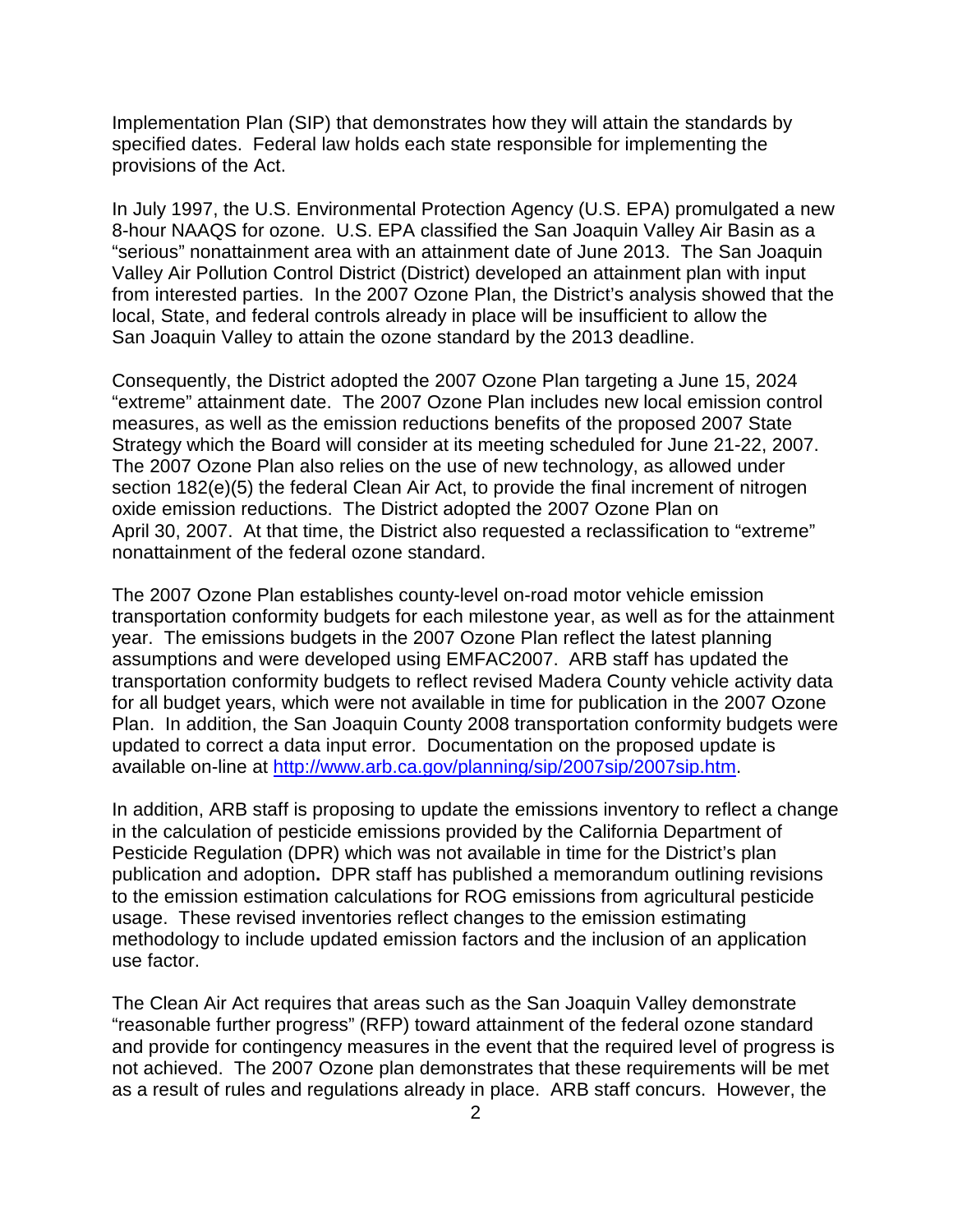Implementation Plan (SIP) that demonstrates how they will attain the standards by specified dates. Federal law holds each state responsible for implementing the provisions of the Act.

In July 1997, the U.S. Environmental Protection Agency (U.S. EPA) promulgated a new 8-hour NAAQS for ozone. U.S. EPA classified the San Joaquin Valley Air Basin as a "serious" nonattainment area with an attainment date of June 2013. The San Joaquin Valley Air Pollution Control District (District) developed an attainment plan with input from interested parties. In the 2007 Ozone Plan, the District's analysis showed that the local, State, and federal controls already in place will be insufficient to allow the San Joaquin Valley to attain the ozone standard by the 2013 deadline.

Consequently, the District adopted the 2007 Ozone Plan targeting a June 15, 2024 "extreme" attainment date. The 2007 Ozone Plan includes new local emission control measures, as well as the emission reductions benefits of the proposed 2007 State Strategy which the Board will consider at its meeting scheduled for June 21-22, 2007. The 2007 Ozone Plan also relies on the use of new technology, as allowed under section 182(e)(5) the federal Clean Air Act, to provide the final increment of nitrogen oxide emission reductions. The District adopted the 2007 Ozone Plan on April 30, 2007. At that time, the District also requested a reclassification to "extreme" nonattainment of the federal ozone standard.

The 2007 Ozone Plan establishes county-level on-road motor vehicle emission transportation conformity budgets for each milestone year, as well as for the attainment year. The emissions budgets in the 2007 Ozone Plan reflect the latest planning assumptions and were developed using EMFAC2007. ARB staff has updated the transportation conformity budgets to reflect revised Madera County vehicle activity data for all budget years, which were not available in time for publication in the 2007 Ozone Plan. In addition, the San Joaquin County 2008 transportation conformity budgets were updated to correct a data input error. Documentation on the proposed update is available on-line at http://www.arb.ca.gov/planning/sip/2007sip/2007sip.htm.

In addition, ARB staff is proposing to update the emissions inventory to reflect a change in the calculation of pesticide emissions provided by the California Department of Pesticide Regulation (DPR) which was not available in time for the District's plan publication and adoption**.** DPR staff has published a memorandum outlining revisions to the emission estimation calculations for ROG emissions from agricultural pesticide usage. These revised inventories reflect changes to the emission estimating methodology to include updated emission factors and the inclusion of an application use factor.

The Clean Air Act requires that areas such as the San Joaquin Valley demonstrate "reasonable further progress" (RFP) toward attainment of the federal ozone standard and provide for contingency measures in the event that the required level of progress is not achieved. The 2007 Ozone plan demonstrates that these requirements will be met as a result of rules and regulations already in place. ARB staff concurs. However, the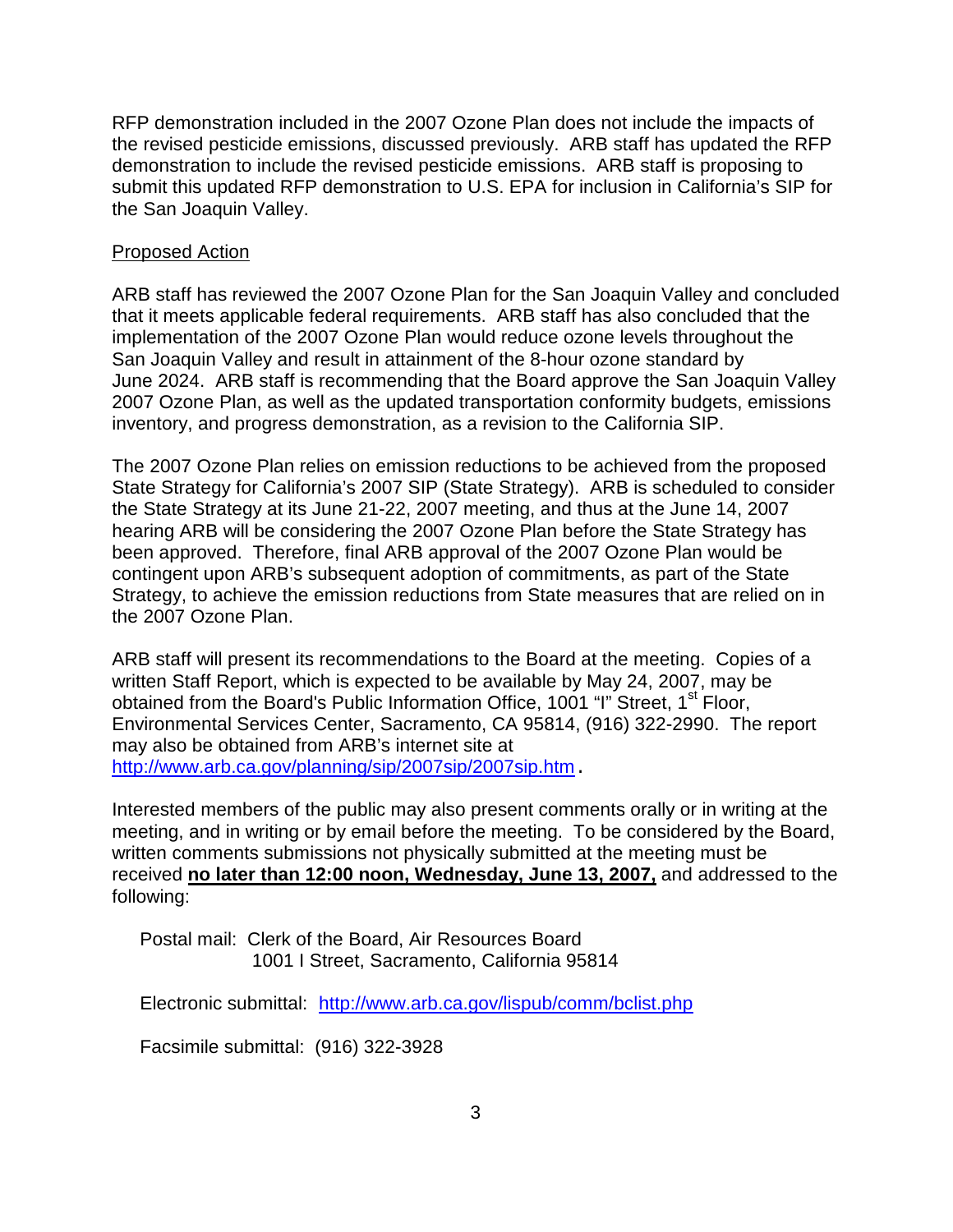RFP demonstration included in the 2007 Ozone Plan does not include the impacts of the revised pesticide emissions, discussed previously. ARB staff has updated the RFP demonstration to include the revised pesticide emissions. ARB staff is proposing to submit this updated RFP demonstration to U.S. EPA for inclusion in California's SIP for the San Joaquin Valley.

## Proposed Action

ARB staff has reviewed the 2007 Ozone Plan for the San Joaquin Valley and concluded that it meets applicable federal requirements. ARB staff has also concluded that the implementation of the 2007 Ozone Plan would reduce ozone levels throughout the San Joaquin Valley and result in attainment of the 8-hour ozone standard by June 2024. ARB staff is recommending that the Board approve the San Joaquin Valley 2007 Ozone Plan, as well as the updated transportation conformity budgets, emissions inventory, and progress demonstration, as a revision to the California SIP.

The 2007 Ozone Plan relies on emission reductions to be achieved from the proposed State Strategy for California's 2007 SIP (State Strategy). ARB is scheduled to consider the State Strategy at its June 21-22, 2007 meeting, and thus at the June 14, 2007 hearing ARB will be considering the 2007 Ozone Plan before the State Strategy has been approved. Therefore, final ARB approval of the 2007 Ozone Plan would be contingent upon ARB's subsequent adoption of commitments, as part of the State Strategy, to achieve the emission reductions from State measures that are relied on in the 2007 Ozone Plan.

ARB staff will present its recommendations to the Board at the meeting. Copies of a written Staff Report, which is expected to be available by May 24, 2007, may be obtained from the Board's Public Information Office, 1001 "I" Street, 1<sup>st</sup> Floor, Environmental Services Center, Sacramento, CA 95814, (916) 322-2990. The report may also be obtained from ARB's internet site at http://www.arb.ca.gov/planning/sip/2007sip/2007sip.htm.

Interested members of the public may also present comments orally or in writing at the meeting, and in writing or by email before the meeting. To be considered by the Board, written comments submissions not physically submitted at the meeting must be received **no later than 12:00 noon, Wednesday, June 13, 2007,** and addressed to the following:

Postal mail: Clerk of the Board, Air Resources Board 1001 I Street, Sacramento, California 95814

Electronic submittal: http://www.arb.ca.gov/lispub/comm/bclist.php

Facsimile submittal: (916) 322-3928